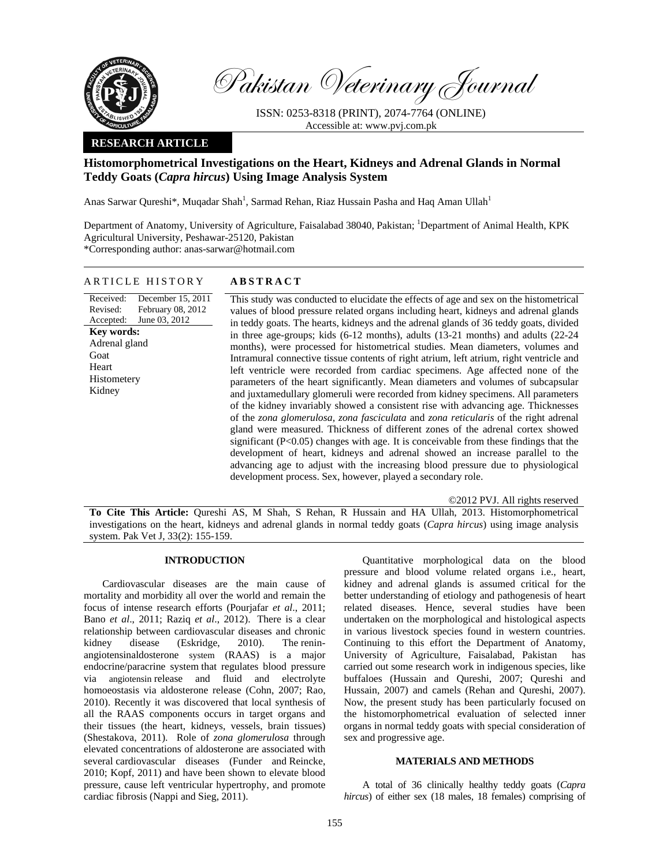

Pakistan Veterinary Journal

ISSN: 0253-8318 (PRINT), 2074-7764 (ONLINE) Accessible at: www.pvj.com.pk

# **RESEARCH ARTICLE**

# **Histomorphometrical Investigations on the Heart, Kidneys and Adrenal Glands in Normal Teddy Goats (***Capra hircus***) Using Image Analysis System**

Anas Sarwar Qureshi\*, Muqadar Shah<sup>1</sup>, Sarmad Rehan, Riaz Hussain Pasha and Haq Aman Ullah<sup>1</sup>

Department of Anatomy, University of Agriculture, Faisalabad 38040, Pakistan; <sup>1</sup>Department of Animal Health, KPK Agricultural University, Peshawar-25120, Pakistan \*Corresponding author: anas-sarwar@hotmail.com

## ARTICLE HISTORY **ABSTRACT**

Received: Revised: Accepted: December 15, 2011 February 08, 2012 June 03, 2012 **Key words:**  Adrenal gland Goat Heart Histometery Kidney

 This study was conducted to elucidate the effects of age and sex on the histometrical values of blood pressure related organs including heart, kidneys and adrenal glands in teddy goats. The hearts, kidneys and the adrenal glands of 36 teddy goats, divided in three age-groups; kids (6-12 months), adults (13-21 months) and adults (22-24 months), were processed for histometrical studies. Mean diameters, volumes and Intramural connective tissue contents of right atrium, left atrium, right ventricle and left ventricle were recorded from cardiac specimens. Age affected none of the parameters of the heart significantly. Mean diameters and volumes of subcapsular and juxtamedullary glomeruli were recorded from kidney specimens. All parameters of the kidney invariably showed a consistent rise with advancing age. Thicknesses of the *zona glomerulosa, zona fasciculata* and *zona reticularis* of the right adrenal gland were measured. Thickness of different zones of the adrenal cortex showed significant  $(P<0.05)$  changes with age. It is conceivable from these findings that the development of heart, kidneys and adrenal showed an increase parallel to the advancing age to adjust with the increasing blood pressure due to physiological development process. Sex, however, played a secondary role.

©2012 PVJ. All rights reserved

**To Cite This Article:** Qureshi AS, M Shah, S Rehan, R Hussain and HA Ullah, 2013. Histomorphometrical investigations on the heart, kidneys and adrenal glands in normal teddy goats (*Capra hircus*) using image analysis system. Pak Vet J, 33(2): 155-159.

## **INTRODUCTION**

Cardiovascular diseases are the main cause of mortality and morbidity all over the world and remain the focus of intense research efforts (Pourjafar *et al*., 2011; Bano *et al*., 2011; Raziq *et al*., 2012). There is a clear relationship between cardiovascular diseases and chronic kidney disease (Eskridge, 2010). The reninangiotensinaldosterone system (RAAS) is a major endocrine/paracrine system that regulates blood pressure via angiotensin release and fluid and electrolyte homoeostasis via aldosterone release (Cohn, 2007; Rao, 2010). Recently it was discovered that local synthesis of all the RAAS components occurs in target organs and their tissues (the heart, kidneys, vessels, brain tissues) (Shestakova, 2011). Role of *zona glomerulosa* through elevated concentrations of aldosterone are associated with several cardiovascular diseases (Funder and Reincke, 2010; Kopf, 2011) and have been shown to elevate blood pressure, cause left ventricular hypertrophy, and promote cardiac fibrosis (Nappi and Sieg, 2011).

Quantitative morphological data on the blood pressure and blood volume related organs i.e., heart, kidney and adrenal glands is assumed critical for the better understanding of etiology and pathogenesis of heart related diseases. Hence, several studies have been undertaken on the morphological and histological aspects in various livestock species found in western countries. Continuing to this effort the Department of Anatomy, University of Agriculture, Faisalabad, Pakistan has carried out some research work in indigenous species, like buffaloes (Hussain and Qureshi, 2007; Qureshi and Hussain, 2007) and camels (Rehan and Qureshi, 2007). Now, the present study has been particularly focused on the histomorphometrical evaluation of selected inner organs in normal teddy goats with special consideration of sex and progressive age.

#### **MATERIALS AND METHODS**

A total of 36 clinically healthy teddy goats (*Capra hircus*) of either sex (18 males, 18 females) comprising of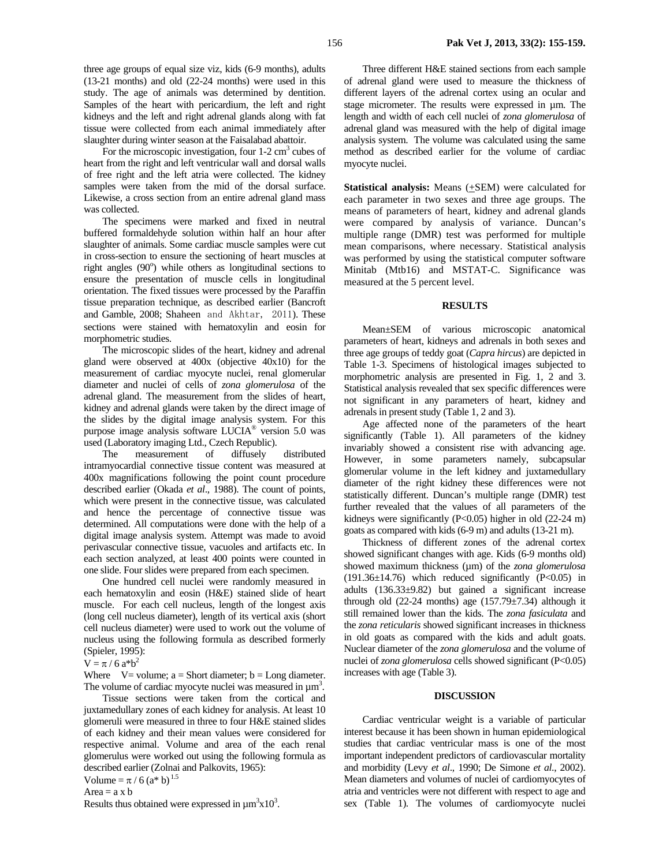three age groups of equal size viz, kids (6-9 months), adults (13-21 months) and old (22-24 months) were used in this study. The age of animals was determined by dentition. Samples of the heart with pericardium, the left and right kidneys and the left and right adrenal glands along with fat tissue were collected from each animal immediately after slaughter during winter season at the Faisalabad abattoir.

For the microscopic investigation, four  $1-2$  cm<sup>3</sup> cubes of heart from the right and left ventricular wall and dorsal walls of free right and the left atria were collected. The kidney samples were taken from the mid of the dorsal surface. Likewise, a cross section from an entire adrenal gland mass was collected.

The specimens were marked and fixed in neutral buffered formaldehyde solution within half an hour after slaughter of animals. Some cardiac muscle samples were cut in cross-section to ensure the sectioning of heart muscles at right angles  $(90^{\circ})$  while others as longitudinal sections to ensure the presentation of muscle cells in longitudinal orientation. The fixed tissues were processed by the Paraffin tissue preparation technique, as described earlier (Bancroft and Gamble, 2008; Shaheen and Akhtar, 2011). These sections were stained with hematoxylin and eosin for morphometric studies.

The microscopic slides of the heart, kidney and adrenal gland were observed at 400x (objective 40x10) for the measurement of cardiac myocyte nuclei, renal glomerular diameter and nuclei of cells of *zona glomerulosa* of the adrenal gland. The measurement from the slides of heart, kidney and adrenal glands were taken by the direct image of the slides by the digital image analysis system. For this purpose image analysis software LUCIA® version 5.0 was used (Laboratory imaging Ltd., Czech Republic).

The measurement of diffusely distributed intramyocardial connective tissue content was measured at 400x magnifications following the point count procedure described earlier (Okada *et al*., 1988). The count of points, which were present in the connective tissue, was calculated and hence the percentage of connective tissue was determined. All computations were done with the help of a digital image analysis system. Attempt was made to avoid perivascular connective tissue, vacuoles and artifacts etc. In each section analyzed, at least 400 points were counted in one slide. Four slides were prepared from each specimen.

One hundred cell nuclei were randomly measured in each hematoxylin and eosin (H&E) stained slide of heart muscle. For each cell nucleus, length of the longest axis (long cell nucleus diameter), length of its vertical axis (short cell nucleus diameter) were used to work out the volume of nucleus using the following formula as described formerly (Spieler, 1995):

#### $V = \pi / 6$  a<sup>\*b<sup>2</sup></sup>

Where  $V=$  volume; a = Short diameter; b = Long diameter. The volume of cardiac myocyte nuclei was measured in  $\mu$ m<sup>3</sup>.

Tissue sections were taken from the cortical and juxtamedullary zones of each kidney for analysis. At least 10 glomeruli were measured in three to four H&E stained slides of each kidney and their mean values were considered for respective animal. Volume and area of the each renal glomerulus were worked out using the following formula as described earlier (Zolnai and Palkovits, 1965):

Volume =  $\pi / 6$  (a<sup>\*</sup> b)<sup>1.5</sup>

 $Area = a \times b$ 

Results thus obtained were expressed in  $\mu$ m<sup>3</sup>x10<sup>3</sup>.

Three different H&E stained sections from each sample of adrenal gland were used to measure the thickness of different layers of the adrenal cortex using an ocular and stage micrometer. The results were expressed in µm. The length and width of each cell nuclei of *zona glomerulosa* of adrenal gland was measured with the help of digital image analysis system. The volume was calculated using the same method as described earlier for the volume of cardiac myocyte nuclei.

**Statistical analysis:** Means (+SEM) were calculated for each parameter in two sexes and three age groups. The means of parameters of heart, kidney and adrenal glands were compared by analysis of variance. Duncan's multiple range (DMR) test was performed for multiple mean comparisons, where necessary. Statistical analysis was performed by using the statistical computer software Minitab (Mtb16) and MSTAT-C. Significance was measured at the 5 percent level.

### **RESULTS**

Mean±SEM of various microscopic anatomical parameters of heart, kidneys and adrenals in both sexes and three age groups of teddy goat (*Capra hircus*) are depicted in Table 1-3. Specimens of histological images subjected to morphometric analysis are presented in Fig. 1, 2 and 3. Statistical analysis revealed that sex specific differences were not significant in any parameters of heart, kidney and adrenals in present study (Table 1, 2 and 3).

Age affected none of the parameters of the heart significantly (Table 1). All parameters of the kidney invariably showed a consistent rise with advancing age. However, in some parameters namely, subcapsular glomerular volume in the left kidney and juxtamedullary diameter of the right kidney these differences were not statistically different. Duncan's multiple range (DMR) test further revealed that the values of all parameters of the kidneys were significantly (P<0.05) higher in old (22-24 m) goats as compared with kids (6-9 m) and adults (13-21 m).

Thickness of different zones of the adrenal cortex showed significant changes with age. Kids (6-9 months old) showed maximum thickness (µm) of the *zona glomerulosa*   $(191.36\pm14.76)$  which reduced significantly  $(P<0.05)$  in adults (136.33±9.82) but gained a significant increase through old  $(22-24$  months) age  $(157.79 \pm 7.34)$  although it still remained lower than the kids. The *zona fasiculata* and the *zona reticularis* showed significant increases in thickness in old goats as compared with the kids and adult goats. Nuclear diameter of the *zona glomerulosa* and the volume of nuclei of *zona glomerulosa* cells showed significant (P<0.05) increases with age (Table 3).

#### **DISCUSSION**

 Cardiac ventricular weight is a variable of particular interest because it has been shown in human epidemiological studies that cardiac ventricular mass is one of the most important independent predictors of cardiovascular mortality and morbidity (Levy *et al*., 1990; De Simone *et al*., 2002). Mean diameters and volumes of nuclei of cardiomyocytes of atria and ventricles were not different with respect to age and sex (Table 1). The volumes of cardiomyocyte nuclei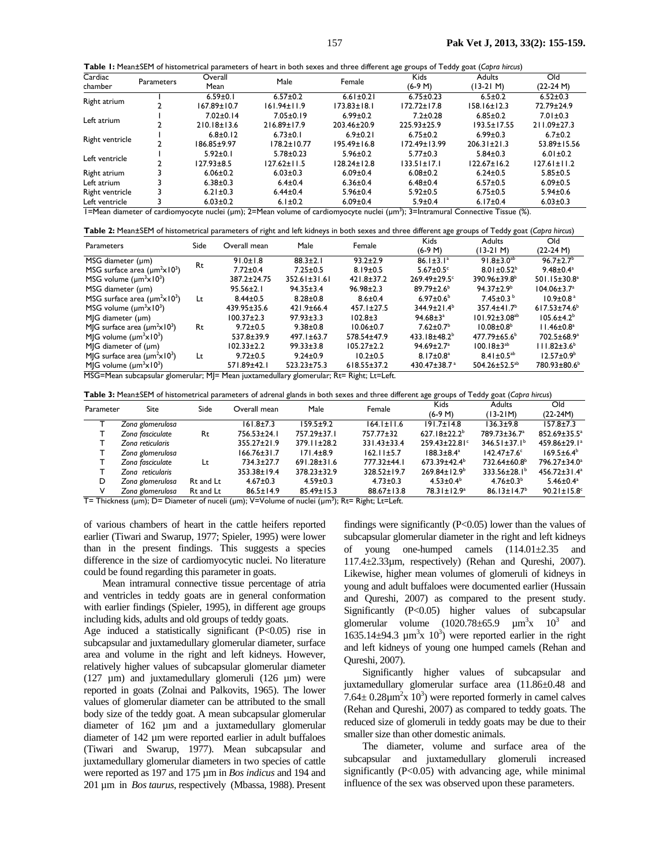**Table 1:** Mean±SEM of histometrical parameters of heart in both sexes and three different age groups of Teddy goat (*Capra hircus*)

| Cardiac                                                                                                                                     |            | Overall           | Male              | Female            | <b>Kids</b>        | <b>Adults</b>     | Old               |  |
|---------------------------------------------------------------------------------------------------------------------------------------------|------------|-------------------|-------------------|-------------------|--------------------|-------------------|-------------------|--|
| chamber                                                                                                                                     | Parameters | Mean              |                   |                   | $(6-9 M)$          | (13-21 M)         | (22-24 M)         |  |
| Right atrium                                                                                                                                |            | $6.59 \pm 0.1$    | $6.57 \pm 0.2$    | $6.61 \pm 0.21$   | $6.75 \pm 0.23$    | $6.5 \pm 0.2$     | $6.52 \pm 0.3$    |  |
|                                                                                                                                             |            | $167.89 \pm 10.7$ | $161.94 \pm 11.9$ | $173.83 \pm 18.1$ | $172.72 \pm 17.8$  | $158.16 \pm 12.3$ | 72.79±24.9        |  |
| Left atrium                                                                                                                                 |            | $7.02 \pm 0.14$   | $7.05 \pm 0.19$   | $6.99 \pm 0.2$    | $7.2 \pm 0.28$     | $6.85 \pm 0.2$    | $7.01 \pm 0.3$    |  |
|                                                                                                                                             |            | $210.18 \pm 13.6$ | $216.89 \pm 17.9$ | 203.46±20.9       | 225.93±25.9        | $193.5 \pm 17.55$ | $211.09 \pm 27.3$ |  |
| Right ventricle                                                                                                                             |            | $6.8 \pm 0.12$    | $6.73 \pm 0.1$    | $6.9 \pm 0.21$    | $6.75 \pm 0.2$     | $6.99 \pm 0.3$    | $6.7 \pm 0.2$     |  |
|                                                                                                                                             |            | 186.85±9.97       | $178.2 \pm 10.77$ | $195.49 \pm 16.8$ | $172.49 \pm 13.99$ | $206.31 \pm 21.3$ | 53.89±15.56       |  |
| Left ventricle                                                                                                                              |            | $5.92 \pm 0.1$    | $5.78 \pm 0.23$   | $5.96 \pm 0.2$    | $5.77 \pm 0.3$     | $5.84 \pm 0.3$    | $6.01 \pm 0.2$    |  |
|                                                                                                                                             |            | $127.93 \pm 8.5$  | $127.62 \pm 11.5$ | $128.24 \pm 12.8$ | $133.51 \pm 17.1$  | $122.67 \pm 16.2$ | $127.61 \pm 11.2$ |  |
| Right atrium                                                                                                                                |            | $6.06 \pm 0.2$    | $6.03 \pm 0.3$    | $6.09 \pm 0.4$    | $6.08 + 0.2$       | $6.24 \pm 0.5$    | $5.85 \pm 0.5$    |  |
| Left atrium                                                                                                                                 |            | $6.38 \pm 0.3$    | $6.4 \pm 0.4$     | $6.36 \pm 0.4$    | $6.48 \pm 0.4$     | $6.57 \pm 0.5$    | $6.09 \pm 0.5$    |  |
| Right ventricle                                                                                                                             |            | $6.21 \pm 0.3$    | $6.44 \pm 0.4$    | $5.96 \pm 0.4$    | $5.92 \pm 0.5$     | $6.75 \pm 0.5$    | $5.94 \pm 0.6$    |  |
| Left ventricle                                                                                                                              |            | $6.03 \pm 0.2$    | $6.1 \pm 0.2$     | $6.09 \pm 0.4$    | $5.9 \pm 0.4$      | $6.17 \pm 0.4$    | $6.03 \pm 0.3$    |  |
| I=Mean diameter of cardiomyocyte nuclei (µm); 2=Mean volume of cardiomyocyte nuclei (µm <sup>3</sup> ); 3=Intramural Connective Tissue (%). |            |                   |                   |                   |                    |                   |                   |  |

| Table 2: Mean±SEM of histometrical parameters of right and left kidneys in both sexes and three different age groups of Teddy goat (Capra hircus) |  |  |
|---------------------------------------------------------------------------------------------------------------------------------------------------|--|--|
|                                                                                                                                                   |  |  |

| Parameters                                                                               | Side | Overall mean     | Male               | Female            | <b>Kids</b>                  | Adults                        | Old                         |
|------------------------------------------------------------------------------------------|------|------------------|--------------------|-------------------|------------------------------|-------------------------------|-----------------------------|
|                                                                                          |      |                  |                    |                   | $(6-9 M)$                    | (13-21 M)                     | $(22-24 M)$                 |
| MSG diameter (µm)                                                                        |      | $91.0 \pm 1.8$   | $88.3 + 2.1$       | $93.2 \pm 2.9$    | $86.1 \pm 3.1^a$             | $91.8 \pm 3.0^{ab}$           | $96.7 \pm 2.7$ <sup>b</sup> |
| MSG surface area $(\mu m^2 \times 10^3)$                                                 | Rt   | $7.72 \pm 0.4$   | $7.25 \pm 0.5$     | $8.19 \pm 0.5$    | $5.67 \pm 0.5$ °             | $8.01 \pm 0.52^b$             | $9.48 \pm 0.4$ <sup>a</sup> |
| MSG volume $(\mu m^3 \times 10^3)$                                                       |      | 387.2±24.75      | $352.61 \pm 31.61$ | $421.8 \pm 37.2$  | 269.49±29.5c                 | 390.96±39.8 <sup>b</sup>      | $501.15 \pm 30.8^a$         |
| MSG diameter (um)                                                                        |      | $95.56 \pm 2.1$  | $94.35 \pm 3.4$    | $96.98 \pm 2.3$   | $89.79 \pm 2.6^b$            | $94.37 \pm 2.9^b$             | $104.06 \pm 3.7^a$          |
| MSG surface area $(\mu m^2 \times 10^3)$                                                 | Lt   | $8.44 \pm 0.5$   | $8.28 \pm 0.8$     | $8.6 \pm 0.4$     | $6.97 \pm 0.6^{\circ}$       | $7.45 \pm 0.3^b$              | $10.9 \pm 0.8$ <sup>a</sup> |
| MSG volume $(\mu m^3 \times 10^3)$                                                       |      | 439.95±35.6      | $421.9 \pm 66.4$   | $457.1 \pm 27.5$  | $344.9 \pm 21.4^b$           | $357.4 \pm 41.7$ <sup>b</sup> | $617.53 \pm 74.6^b$         |
| $M G$ diameter ( $µm$ )                                                                  |      | $100.37 \pm 2.3$ | $97.93 \pm 3.3$    | $102.8 \pm 3$     | $94.68 \pm 3^a$              | $101.92 \pm 3.08^{ab}$        | $105.6{\pm}4.2^{b}$         |
| MJG surface area $(\mu m^2 \times 10^3)$                                                 | Rt   | $9.72 \pm 0.5$   | $9.38 \pm 0.8$     | $10.06 \pm 0.7$   | $7.62 \pm 0.7$ <sup>b</sup>  | $10.08 \pm 0.8$ <sup>b</sup>  | $11.46 \pm 0.8^a$           |
| MJG volume $(\mu m^3 \times 10^3)$                                                       |      | $537.8 \pm 39.9$ | $497.1 \pm 63.7$   | 578.54±47.9       | 433.18±48.2 <sup>b</sup>     | $477.79 \pm 65.6^b$           | 702.5±68.9 <sup>a</sup>     |
| $M G$ diameter of $(\mu m)$                                                              |      | $102.33 \pm 2.2$ | $99.33 \pm 3.8$    | $105.27 \pm 2.2$  | $94.69 \pm 2.7$ <sup>a</sup> | $100.18 \pm 3^{ab}$           | $111.82 \pm 3.6^b$          |
| MJG surface area $(\mu m^2 \times 10^3)$                                                 | Lt   | $9.72 \pm 0.5$   | $9.24 \pm 0.9$     | $10.2 \pm 0.5$    | $8.17 \pm 0.8^a$             | $8.41 \pm 0.5^{ab}$           | $12.57 \pm 0.9^{\circ}$     |
| MJG volume $(\mu m^3 \times 10^3)$                                                       |      | 571.89±42.1      | $523.23 \pm 75.3$  | $618.55 \pm 37.2$ | 430.47±38.7 <sup>a</sup>     | 504.26±52.5 <sup>ab</sup>     | 780.93±80.6 <sup>b</sup>    |
| MSG=Mean subcapsular glomerular; M = Mean juxtamedullary glomerular; Rt= Right; Lt=Left. |      |                  |                    |                   |                              |                               |                             |

**Table 3:** Mean±SEM of histometrical parameters of adrenal glands in both sexes and three different age groups of Teddy goat (*Capra hircus*)

| Parameter | Site                                                                                                                         | Side      | Overall mean      | Male              | Female           | <b>Kids</b>             | <b>Adults</b>                 | Old                      |  |
|-----------|------------------------------------------------------------------------------------------------------------------------------|-----------|-------------------|-------------------|------------------|-------------------------|-------------------------------|--------------------------|--|
|           |                                                                                                                              |           |                   |                   |                  | $(6-9 M)$               | $(13-21M)$                    | $(22-24M)$               |  |
|           | Zona glomerulosa                                                                                                             |           | $161.8 \pm 7.3$   | 159.5±9.2         | $164.1 \pm 11.6$ | $191.7 \pm 14.8$        | $136.3 + 9.8$                 | $157.8 + 7.3$            |  |
|           | Zona fasciculate                                                                                                             | Rt        | 756.53±24.1       | 757.29±37.1       | 757.77±32        | $627.18 \pm 22.2^b$     | 789.73±36.7 <sup>a</sup>      | 852.69±35.5 <sup>a</sup> |  |
|           | Zona reticularis                                                                                                             |           | 355.27±21.9       | $379.11 \pm 28.2$ | 331.43±33.4      | 259.43±22.81°           | $346.51 \pm 37.1^b$           | 459.86±29.1 <sup>a</sup> |  |
|           | Zona glomerulosa                                                                                                             |           | $166.76 \pm 31.7$ | $171.4 \pm 8.9$   | $162.11 \pm 5.7$ | $188.3 \pm 8.4^a$       | $142.47 \pm 7.6$ °            | $169.5 \pm 6.4^b$        |  |
|           | Zona fasciculate                                                                                                             | Lt        | 734.3±27.7        | 691.28±31.6       | 777.32±44.1      | $673.39 \pm 42.4^b$     | 732.64±60.8 <sup>b</sup>      | 796.27±34.0 <sup>a</sup> |  |
|           | Zona reticularis                                                                                                             |           | 353.38±19.4       | 378.23±32.9       | 328.52±19.7      | $269.84 \pm 12.9^b$     | $333.56 \pm 28.1^{\circ}$     | $456.72 \pm 31.4^a$      |  |
| D         | Zona glomerulosa                                                                                                             | Rt and Lt | $4.67 \pm 0.3$    | $4.59 \pm 0.3$    | $4.73 \pm 0.3$   | $4.53 \pm 0.4^b$        | $4.76 \pm 0.3^b$              | $5.46 \pm 0.4^a$         |  |
| v         | Zona glomerulosa                                                                                                             | Rt and Lt | $86.5 \pm 14.9$   | $85.49 \pm 15.3$  | $88.67 \pm 13.8$ | 78.31±12.9 <sup>a</sup> | $86.13 \pm 14.7$ <sup>b</sup> | $90.21 \pm 15.8$ °       |  |
|           | $T =$ Thiskness (um): $D =$ Diamatar of nugali (um): $1/-1$ olyma of nuglai (um <sup>3</sup> ): $D_f = D_i$ ght: $I_f = I_f$ |           |                   |                   |                  |                         |                               |                          |  |

T= Thickness (µm); D= Diameter of nuceli (µm); V=Volume of nuclei (µm<sup>3</sup>); Rt= Right; Lt=Left.

of various chambers of heart in the cattle heifers reported earlier (Tiwari and Swarup, 1977; Spieler*,* 1995) were lower than in the present findings. This suggests a species difference in the size of cardiomyocytic nuclei. No literature could be found regarding this parameter in goats.

Mean intramural connective tissue percentage of atria and ventricles in teddy goats are in general conformation with earlier findings (Spieler*,* 1995), in different age groups including kids, adults and old groups of teddy goats.

Age induced a statistically significant (P<0.05) rise in subcapsular and juxtamedullary glomerular diameter, surface area and volume in the right and left kidneys. However, relatively higher values of subcapsular glomerular diameter (127  $\mu$ m) and juxtamedullary glomeruli (126  $\mu$ m) were reported in goats (Zolnai and Palkovits, 1965). The lower values of glomerular diameter can be attributed to the small body size of the teddy goat. A mean subcapsular glomerular diameter of 162 µm and a juxtamedullary glomerular diameter of 142 µm were reported earlier in adult buffaloes (Tiwari and Swarup, 1977). Mean subcapsular and juxtamedullary glomerular diameters in two species of cattle were reported as 197 and 175 µm in *Bos indicus* and 194 and 201 µm in *Bos taurus*, respectively (Mbassa, 1988). Present findings were significantly  $(P<0.05)$  lower than the values of subcapsular glomerular diameter in the right and left kidneys of young one-humped camels (114.01±2.35 and 117.4±2.33µm, respectively) (Rehan and Qureshi, 2007). Likewise, higher mean volumes of glomeruli of kidneys in young and adult buffaloes were documented earlier (Hussain and Qureshi, 2007) as compared to the present study. Significantly (P<0.05) higher values of subcapsular glomerular volume  $(1020.78 \pm 65.9 \mu m^3 x \quad 10^3$  and 1635.14 $\pm$ 94.3  $\mu$ m<sup>3</sup>x 10<sup>3</sup>) were reported earlier in the right and left kidneys of young one humped camels (Rehan and Qureshi, 2007).

Significantly higher values of subcapsular and juxtamedullary glomerular surface area (11.86±0.48 and  $7.64 \pm 0.28 \mu m^2 x$  10<sup>3</sup>) were reported formerly in camel calves (Rehan and Qureshi, 2007) as compared to teddy goats. The reduced size of glomeruli in teddy goats may be due to their smaller size than other domestic animals.

The diameter, volume and surface area of the subcapsular and juxtamedullary glomeruli increased significantly  $(P<0.05)$  with advancing age, while minimal influence of the sex was observed upon these parameters.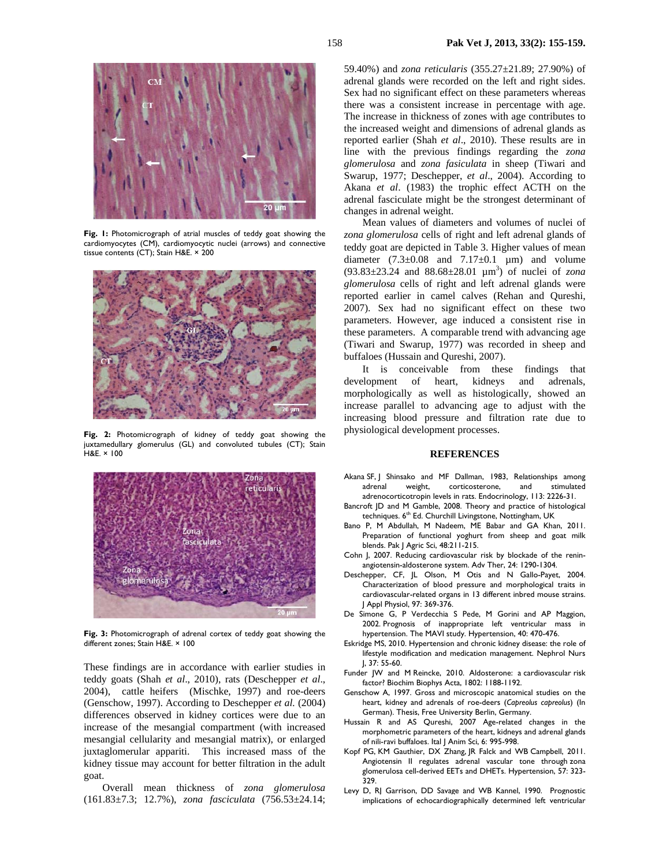

**Fig. 1:** Photomicrograph of atrial muscles of teddy goat showing the cardiomyocytes (CM), cardiomyocytic nuclei (arrows) and connective tissue contents (CT); Stain H&E. × 200



**Fig. 2:** Photomicrograph of kidney of teddy goat showing the juxtamedullary glomerulus (GL) and convoluted tubules (CT); Stain H&E. × 100



**Fig. 3:** Photomicrograph of adrenal cortex of teddy goat showing the different zones; Stain H&E. × 100

These findings are in accordance with earlier studies in teddy goats (Shah *et al*., 2010), rats (Deschepper *et al*., 2004), cattle heifers (Mischke, 1997) and roe-deers (Genschow, 1997). According to Deschepper *et al.* (2004) differences observed in kidney cortices were due to an increase of the mesangial compartment (with increased mesangial cellularity and mesangial matrix), or enlarged juxtaglomerular appariti. This increased mass of the kidney tissue may account for better filtration in the adult goat.

Overall mean thickness of *zona glomerulosa* (161.83±7.3; 12.7%), *zona fasciculata* (756.53±24.14; 59.40%) and *zona reticularis* (355.27±21.89; 27.90%) of adrenal glands were recorded on the left and right sides. Sex had no significant effect on these parameters whereas there was a consistent increase in percentage with age. The increase in thickness of zones with age contributes to the increased weight and dimensions of adrenal glands as reported earlier (Shah *et al*., 2010). These results are in line with the previous findings regarding the *zona glomerulosa* and *zona fasiculata* in sheep (Tiwari and Swarup, 1977; Deschepper, *et al*., 2004). According to Akana *et al*. (1983) the trophic effect ACTH on the adrenal fasciculate might be the strongest determinant of changes in adrenal weight.

Mean values of diameters and volumes of nuclei of *zona glomerulosa* cells of right and left adrenal glands of teddy goat are depicted in Table 3. Higher values of mean diameter  $(7.3\pm0.08$  and  $7.17\pm0.1$  µm) and volume  $(93.83 \pm 23.24$  and  $88.68 \pm 28.01$   $\mu$ m<sup>3</sup>) of nuclei of *zona glomerulosa* cells of right and left adrenal glands were reported earlier in camel calves (Rehan and Qureshi, 2007). Sex had no significant effect on these two parameters. However, age induced a consistent rise in these parameters. A comparable trend with advancing age (Tiwari and Swarup, 1977) was recorded in sheep and buffaloes (Hussain and Qureshi, 2007).

It is conceivable from these findings that development of heart, kidneys and adrenals, morphologically as well as histologically, showed an increase parallel to advancing age to adjust with the increasing blood pressure and filtration rate due to physiological development processes.

#### **REFERENCES**

- Akana SF, J Shinsako and MF Dallman, 1983, Relationships among<br>adrenal weight, corticosterone, and stimulated adrenal weight, corticosterone, and stimulated adrenocorticotropin levels in rats. Endocrinology, 113: 2226-31.
- Bancroft JD and M Gamble, 2008. Theory and practice of histological techniques. 6<sup>th</sup> Ed. Churchill Livingstone, Nottingham, UK
- Bano P, M Abdullah, M Nadeem, ME Babar and GA Khan, 2011. Preparation of functional yoghurt from sheep and goat milk blends. Pak J Agric Sci, 48:211-215.
- Cohn J, 2007. Reducing cardiovascular risk by blockade of the reninangiotensin-aldosterone system. Adv Ther, 24: 1290-1304.
- Deschepper, CF, JL Olson, M Otis and N Gallo-Payet, 2004. Characterization of blood pressure and morphological traits in cardiovascular-related organs in 13 different inbred mouse strains. J Appl Physiol, 97: 369-376.
- De Simone G, P Verdecchia S Pede, M Gorini and AP Maggion, 2002. Prognosis of inappropriate left ventricular mass in hypertension. The MAVI study. Hypertension, 40: 470-476.
- Eskridge MS, 2010. Hypertension and chronic kidney disease: the role of lifestyle modification and medication management. Nephrol Nurs J, 37: 55-60.
- Funder JW and M Reincke, 2010. Aldosterone: a cardiovascular risk factor? Biochim Biophys Acta, 1802: 1188-1192.
- Genschow A, 1997. Gross and microscopic anatomical studies on the heart, kidney and adrenals of roe-deers (*Capreolus capreolus*) (In German). Thesis, Free University Berlin, Germany.
- Hussain R and AS Qureshi, 2007 Age-related changes in the morphometric parameters of the heart, kidneys and adrenal glands of nili-ravi buffaloes. Ital J Anim Sci, 6: 995-998.
- Kopf PG, KM Gauthier, DX Zhang, JR Falck and WB Campbell, 2011. Angiotensin II regulates adrenal vascular tone through zona glomerulosa cell-derived EETs and DHETs. Hypertension, 57: 323- 329.
- Levy D, RJ Garrison, DD Savage and WB Kannel, 1990. Prognostic implications of echocardiographically determined left ventricular